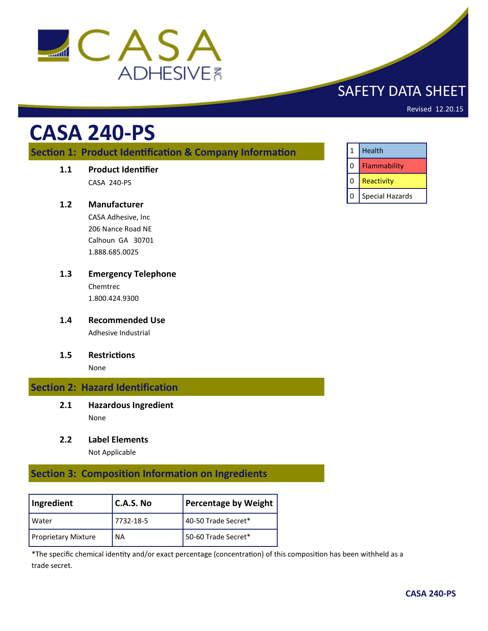

# SAFETY DATA SHEET

Revised 12.20.15

# **CASA 240-PS**

# **Section 1: Product Identification & Company Information**

**1.1 Product Identifier**

CASA 240-PS

# **1.2 Manufacturer**

CASA Adhesive, Inc 206 Nance Road NE Calhoun GA 30701 1.888.685.0025

- **1.3 Emergency Telephone** Chemtrec 1.800.424.9300
- **1.4 Recommended Use** Adhesive Industrial
- **1.5 Restrictions**

None

## **Section 2: Hazard Identification**

- **2.1 Hazardous Ingredient** None
- **2.2 Label Elements**

Not Applicable

# **Section 3: Composition Information on Ingredients**

| Ingredient                 | $C.A.S.$ No | Percentage by Weight |
|----------------------------|-------------|----------------------|
| l Water                    | 7732-18-5   | 40-50 Trade Secret*  |
| <b>Proprietary Mixture</b> | <b>NA</b>   | 50-60 Trade Secret*  |

\*The specific chemical identity and/or exact percentage (concentration) of this composition has been withheld as a trade secret.

| $\mathbf{1}$ | Health                 |
|--------------|------------------------|
| 0            | Flammability           |
| 0            | Reactivity             |
| 0            | <b>Special Hazards</b> |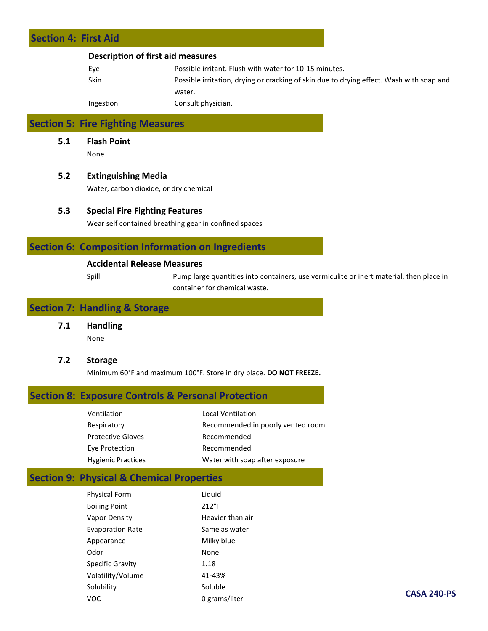# **Section 4: First Aid**

#### **Description of first aid measures**

| Eve       | Possible irritant. Flush with water for 10-15 minutes.                                   |
|-----------|------------------------------------------------------------------------------------------|
| Skin      | Possible irritation, drying or cracking of skin due to drying effect. Wash with soap and |
|           | water.                                                                                   |
| Ingestion | Consult physician.                                                                       |

# **Section 5: Fire Fighting Measures**

**5.1 Flash Point** None

#### **5.2 Extinguishing Media**

Water, carbon dioxide, or dry chemical

#### **5.3 Special Fire Fighting Features**

Wear self contained breathing gear in confined spaces

# **Section 6: Composition Information on Ingredients**

#### **Accidental Release Measures**

Spill Pump large quantities into containers, use vermiculite or inert material, then place in container for chemical waste.

# **Section 7: Handling & Storage**

**7.1 Handling**

None

#### **7.2 Storage**

Minimum 60°F and maximum 100°F. Store in dry place. **DO NOT FREEZE.**

## **Section 8: Exposure Controls & Personal Protection**

| Ventilation               | <b>Local Ventilation</b>          |
|---------------------------|-----------------------------------|
| Respiratory               | Recommended in poorly vented room |
| <b>Protective Gloves</b>  | Recommended                       |
| Eye Protection            | Recommended                       |
| <b>Hygienic Practices</b> | Water with soap after exposure    |

# **Section 9: Physical & Chemical Properties**

| <b>Physical Form</b>    | Liquid           |
|-------------------------|------------------|
| <b>Boiling Point</b>    | $212^{\circ}F$   |
| Vapor Density           | Heavier than air |
| <b>Evaporation Rate</b> | Same as water    |
| Appearance              | Milky blue       |
| Odor                    | None             |
| <b>Specific Gravity</b> | 1.18             |
| Volatility/Volume       | 41-43%           |
| Solubility              | Soluble          |
| voc                     | 0 grams/liter    |